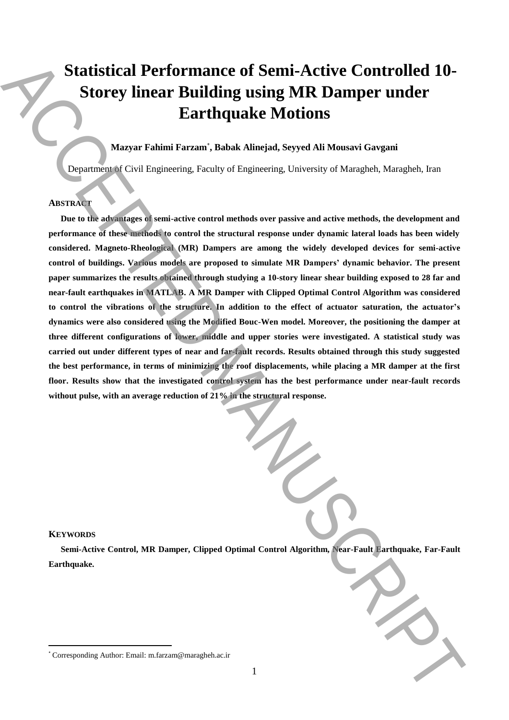# **Statistical Performance of Semi-Active Controlled 10- Storey linear Building using MR Damper under Earthquake Motions**

# **Mazyar Fahimi Farzam**\* **, Babak Alinejad, Seyyed Ali Mousavi Gavgani**

Department of Civil Engineering, Faculty of Engineering, University of Maragheh, Maragheh, Iran

# **ABSTRACT**

**Due to the advantages of semi-active control methods over passive and active methods, the development and performance of these methods to control the structural response under dynamic lateral loads has been widely considered. Magneto-Rheological (MR) Dampers are among the widely developed devices for semi-active control of buildings. Various models are proposed to simulate MR Dampers' dynamic behavior. The present paper summarizes the results obtained through studying a 10-story linear shear building exposed to 28 far and near-fault earthquakes in MATLAB. A MR Damper with Clipped Optimal Control Algorithm was considered to control the vibrations of the structure. In addition to the effect of actuator saturation, the actuator's dynamics were also considered using the Modified Bouc-Wen model. Moreover, the positioning the damper at three different configurations of lower, middle and upper stories were investigated. A statistical study was carried out under different types of near and far-fault records. Results obtained through this study suggested the best performance, in terms of minimizing the roof displacements, while placing a MR damper at the first floor. Results show that the investigated control system has the best performance under near-fault records without pulse, with an average reduction of 21% in the structural response.** Statistical Performance of Semi-Active Controlled 10-<br>Storrey linear Building using MR Damper under<br>Earthquake Motions<br>
Earthquake Motions<br>
Manuscript Factoring Controlled Manuscript ( $\sim$ Fragmenting Factoring Delivering)

#### **KEYWORDS**

 $\overline{a}$ 

**Semi-Active Control, MR Damper, Clipped Optimal Control Algorithm, Near-Fault Earthquake, Far-Fault Earthquake.**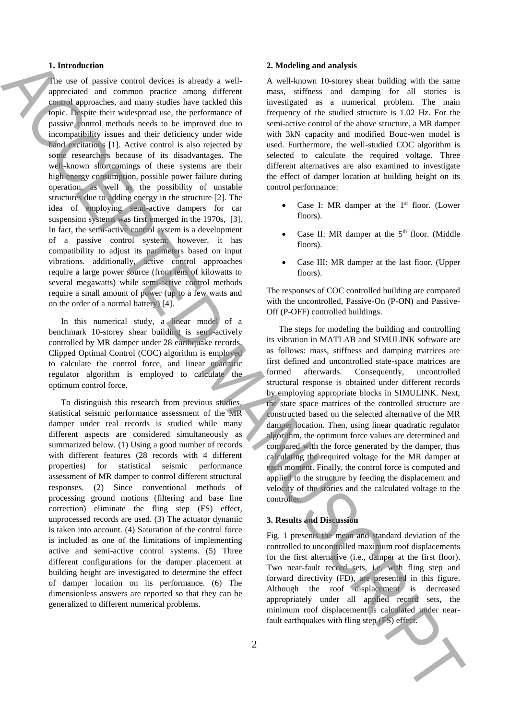### **1. Introduction**

The use of passive control devices is already a wellappreciated and common practice among different control approaches, and many studies have tackled this topic. Despite their widespread use, the performance of passive control methods needs to be improved due to incompatibility issues and their deficiency under wide band excitations [1]. Active control is also rejected by some researchers because of its disadvantages. The well-known shortcomings of these systems are their high energy consumption, possible power failure during operation, as well as the possibility of unstable structures due to adding energy in the structure [2]. The idea of employing semi-active dampers for car suspension systems was first emerged in the 1970s, [3]. In fact, the semi-active control system is a development of a passive control system; however, it has compatibility to adjust its parameters based on input vibrations. additionally, active control approaches require a large power source (from tens of kilowatts to several megawatts) while semi-active control methods require a small amount of power (up to a few watts and on the order of a normal battery) [4]. **1.** have not denote it interests in the system of the based of the system of the system of the system of the system of the system of the system of the system of the system of the system of the system of the system of the

In this numerical study, a linear model of a benchmark 10-storey shear building is semi-actively controlled by MR damper under 28 earthquake records. Clipped Optimal Control (COC) algorithm is employed to calculate the control force, and linear quadratic regulator algorithm is employed to calculate the optimum control force.

To distinguish this research from previous studies, statistical seismic performance assessment of the MR damper under real records is studied while many different aspects are considered simultaneously as summarized below. (1) Using a good number of records with different features (28 records with 4 different properties) for statistical seismic performance assessment of MR damper to control different structural responses. (2) Since conventional methods of processing ground motions (filtering and base line correction) eliminate the fling step (FS) effect, unprocessed records are used. (3) The actuator dynamic is taken into account. (4) Saturation of the control force is included as one of the limitations of implementing active and semi-active control systems. (5) Three different configurations for the damper placement at building height are investigated to determine the effect of damper location on its performance. (6) The dimensionless answers are reported so that they can be generalized to different numerical problems.

#### **2. Modeling and analysis**

A well-known 10-storey shear building with the same mass, stiffness and damping for all stories is investigated as a numerical problem. The main frequency of the studied structure is 1.02 Hz. For the semi-active control of the above structure, a MR damper with 3kN capacity and modified Bouc-wen model is used. Furthermore, the well-studied COC algorithm is selected to calculate the required voltage. Three different alternatives are also examined to investigate the effect of damper location at building height on its control performance:

- Case I: MR damper at the 1<sup>st</sup> floor. (Lower floors).
- Case II: MR damper at the 5<sup>th</sup> floor. (Middle floors).
- Case III: MR damper at the last floor. (Upper floors).

The responses of COC controlled building are compared with the uncontrolled, Passive-On (P-ON) and Passive-Off (P-OFF) controlled buildings.

The steps for modeling the building and controlling its vibration in MATLAB and SIMULINK software are as follows: mass, stiffness and damping matrices are first defined and uncontrolled state-space matrices are formed afterwards. Consequently, uncontrolled structural response is obtained under different records by employing appropriate blocks in SIMULINK. Next, the state space matrices of the controlled structure are constructed based on the selected alternative of the MR damper location. Then, using linear quadratic regulator algorithm, the optimum force values are determined and compared with the force generated by the damper, thus calculating the required voltage for the MR damper at each moment. Finally, the control force is computed and applied to the structure by feeding the displacement and velocity of the stories and the calculated voltage to the controller.

# **3. Results and Discussion**

Fig. 1 presents the mean and standard deviation of the controlled to uncontrolled maximum roof displacements for the first alternative (i.e., damper at the first floor). Two near-fault record sets, i.e. with fling step and forward directivity (FD), are presented in this figure. Although the roof displacement is decreased appropriately under all applied record sets, the minimum roof displacement is calculated under near-